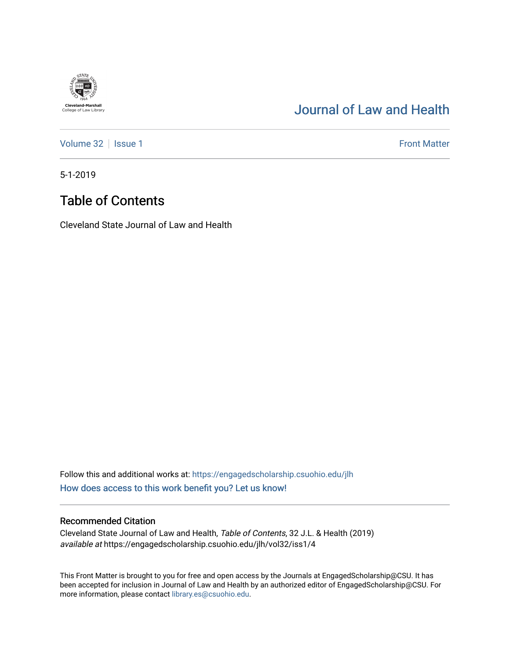### [Journal of Law and Health](https://engagedscholarship.csuohio.edu/jlh)

[Volume 32](https://engagedscholarship.csuohio.edu/jlh/vol32) | [Issue 1](https://engagedscholarship.csuohio.edu/jlh/vol32/iss1) Front Matter

5-1-2019

**Cleveland-Marshall**<br>College of Law Library

### Table of Contents

Cleveland State Journal of Law and Health

Follow this and additional works at: [https://engagedscholarship.csuohio.edu/jlh](https://engagedscholarship.csuohio.edu/jlh?utm_source=engagedscholarship.csuohio.edu%2Fjlh%2Fvol32%2Fiss1%2F4&utm_medium=PDF&utm_campaign=PDFCoverPages)  [How does access to this work benefit you? Let us know!](http://library.csuohio.edu/engaged/)

#### Recommended Citation

Cleveland State Journal of Law and Health, Table of Contents, 32 J.L. & Health (2019) available at https://engagedscholarship.csuohio.edu/jlh/vol32/iss1/4

This Front Matter is brought to you for free and open access by the Journals at EngagedScholarship@CSU. It has been accepted for inclusion in Journal of Law and Health by an authorized editor of EngagedScholarship@CSU. For more information, please contact [library.es@csuohio.edu](mailto:library.es@csuohio.edu).